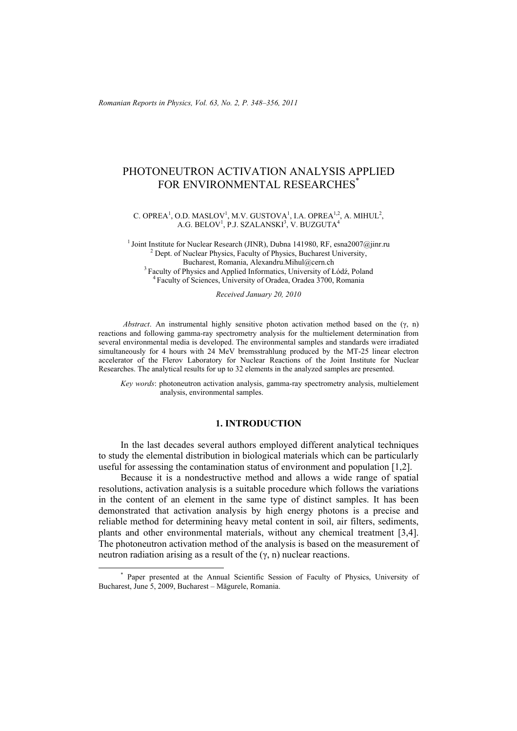*Romanian Reports in Physics, Vol. 63, No. 2, P. 348–356, 2011*

# PHOTONEUTRON ACTIVATION ANALYSIS APPLIED FOR ENVIRONMENTAL RESEARCHES<sup>\*</sup>

C. OPREA<sup>1</sup>, O.D. MASLOV<sup>1</sup>, M.V. GUSTOVA<sup>1</sup>, I.A. OPREA<sup>1,2</sup>, A. MIHUL<sup>2</sup>,  $A.G. BELOV<sup>1</sup>, P.J. SZALANSKI<sup>3</sup>, V. BUZGUTA<sup>4</sup>$ 

<sup>1</sup> Joint Institute for Nuclear Research (JINR), Dubna 141980, RF, esna2007@jinr.ru  $<sup>2</sup>$  Dept. of Nuclear Physics, Faculty of Physics, Bucharest University,</sup> Bucharest, Romania, Alexandru.Mihul@cern.ch 3 Faculty of Physics and Applied Informatics, University of Łódź, Poland 4 Faculty of Sciences, University of Oradea, Oradea 3700, Romania

*Received January 20, 2010* 

*Abstract*. An instrumental highly sensitive photon activation method based on the (γ, n) reactions and following gamma-ray spectrometry analysis for the multielement determination from several environmental media is developed. The environmental samples and standards were irradiated simultaneously for 4 hours with 24 MeV bremsstrahlung produced by the MT-25 linear electron accelerator of the Flerov Laboratory for Nuclear Reactions of the Joint Institute for Nuclear Researches. The analytical results for up to 32 elements in the analyzed samples are presented.

*Key words*: photoneutron activation analysis, gamma-ray spectrometry analysis, multielement analysis, environmental samples.

### **1. INTRODUCTION**

In the last decades several authors employed different analytical techniques to study the elemental distribution in biological materials which can be particularly useful for assessing the contamination status of environment and population [1,2].

Because it is a nondestructive method and allows a wide range of spatial resolutions, activation analysis is a suitable procedure which follows the variations in the content of an element in the same type of distinct samples. It has been demonstrated that activation analysis by high energy photons is a precise and reliable method for determining heavy metal content in soil, air filters, sediments, plants and other environmental materials, without any chemical treatment [3,4]. The photoneutron activation method of the analysis is based on the measurement of neutron radiation arising as a result of the  $(γ, n)$  nuclear reactions.

 <sup>\*</sup> Paper presented at the Annual Scientific Session of Faculty of Physics, University of Bucharest, June 5, 2009, Bucharest – Măgurele, Romania.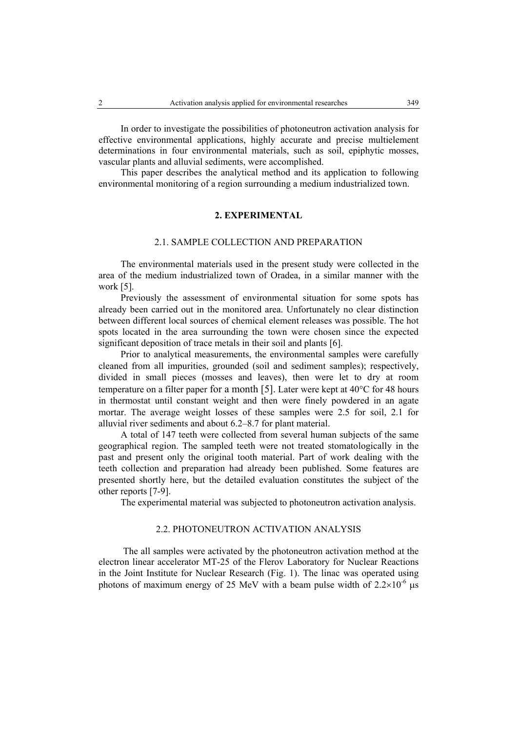In order to investigate the possibilities of photoneutron activation analysis for effective environmental applications, highly accurate and precise multielement determinations in four environmental materials, such as soil, epiphytic mosses, vascular plants and alluvial sediments, were accomplished.

This paper describes the analytical method and its application to following environmental monitoring of a region surrounding a medium industrialized town.

### **2. EXPERIMENTAL**

### 2.1. SAMPLE COLLECTION AND PREPARATION

The environmental materials used in the present study were collected in the area of the medium industrialized town of Oradea, in a similar manner with the work [5].

Previously the assessment of environmental situation for some spots has already been carried out in the monitored area. Unfortunately no clear distinction between different local sources of chemical element releases was possible. The hot spots located in the area surrounding the town were chosen since the expected significant deposition of trace metals in their soil and plants [6].

Prior to analytical measurements, the environmental samples were carefully cleaned from all impurities, grounded (soil and sediment samples); respectively, divided in small pieces (mosses and leaves), then were let to dry at room temperature on a filter paper for a month [5]. Later were kept at  $40^{\circ}$ C for 48 hours in thermostat until constant weight and then were finely powdered in an agate mortar. The average weight losses of these samples were 2.5 for soil, 2.1 for alluvial river sediments and about 6.2–8.7 for plant material.

A total of 147 teeth were collected from several human subjects of the same geographical region. The sampled teeth were not treated stomatologically in the past and present only the original tooth material. Part of work dealing with the teeth collection and preparation had already been published. Some features are presented shortly here, but the detailed evaluation constitutes the subject of the other reports [7-9].

The experimental material was subjected to photoneutron activation analysis.

### 2.2. PHOTONEUTRON ACTIVATION ANALYSIS

The all samples were activated by the photoneutron activation method at the electron linear accelerator MT-25 of the Flerov Laboratory for Nuclear Reactions in the Joint Institute for Nuclear Research (Fig. 1). The linac was operated using photons of maximum energy of 25 MeV with a beam pulse width of  $2.2 \times 10^{-6}$  us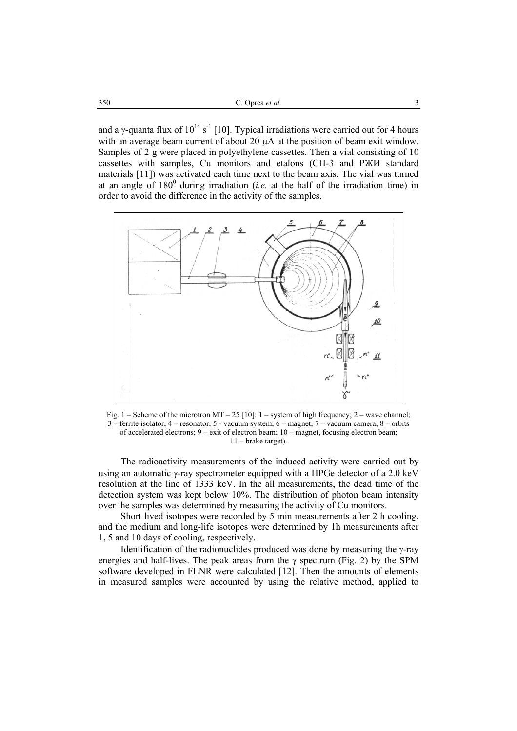and a *γ*-quanta flux of  $10^{14}$  s<sup>-1</sup> [10]. Typical irradiations were carried out for 4 hours with an average beam current of about 20  $\mu$ A at the position of beam exit window. Samples of 2 g were placed in polyethylene cassettes. Then a vial consisting of 10 cassettes with samples, Cu monitors and etalons (СП-3 and РЖИ standard materials [11]) was activated each time next to the beam axis. The vial was turned at an angle of  $180^{\circ}$  during irradiation (*i.e.* at the half of the irradiation time) in order to avoid the difference in the activity of the samples.



Fig. 1 – Scheme of the microtron MT – 25 [10]: 1 – system of high frequency: 2 – wave channel: 3 – ferrite isolator; 4 – resonator; 5 - vacuum system; 6 – magnet; 7 – vacuum camera, 8 – orbits of accelerated electrons; 9 – exit of electron beam; 10 – magnet, focusing electron beam; 11 – brake target).

The radioactivity measurements of the induced activity were carried out by using an automatic γ-ray spectrometer equipped with a HPGe detector of a 2.0 keV resolution at the line of 1333 keV. In the all measurements, the dead time of the detection system was kept below 10%. The distribution of photon beam intensity over the samples was determined by measuring the activity of Cu monitors.

Short lived isotopes were recorded by 5 min measurements after 2 h cooling, and the medium and long-life isotopes were determined by 1h measurements after 1, 5 and 10 days of cooling, respectively.

Identification of the radionuclides produced was done by measuring the γ-ray energies and half-lives. The peak areas from the  $\gamma$  spectrum (Fig. 2) by the SPM software developed in FLNR were calculated [12]. Then the amounts of elements in measured samples were accounted by using the relative method, applied to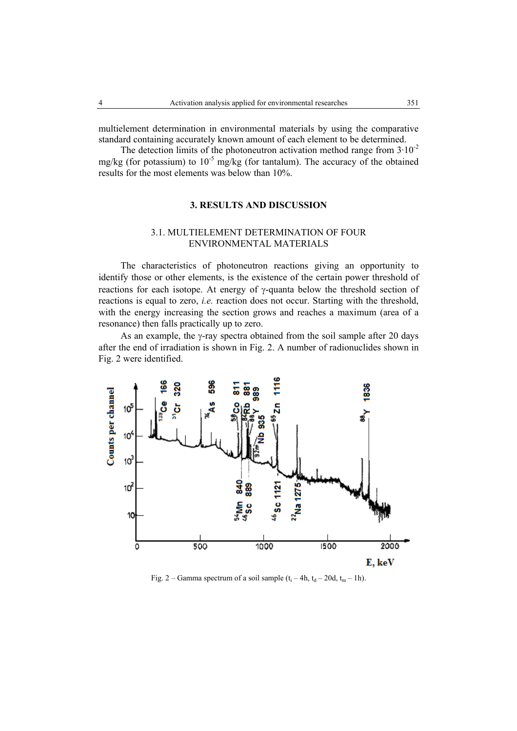multielement determination in environmental materials by using the comparative standard containing accurately known amount of each element to be determined.

The detection limits of the photoneutron activation method range from  $3 \cdot 10^{-2}$ mg/kg (for potassium) to  $10^{-5}$  mg/kg (for tantalum). The accuracy of the obtained results for the most elements was below than 10%.

### **3. RESULTS AND DISCUSSION**

## 3.1. MULTIELEMENT DETERMINATION OF FOUR ENVIRONMENTAL MATERIALS

The characteristics of photoneutron reactions giving an opportunity to identify those or other elements, is the existence of the certain power threshold of reactions for each isotope. At energy of γ-quanta below the threshold section of reactions is equal to zero, *i.e.* reaction does not occur. Starting with the threshold, with the energy increasing the section grows and reaches a maximum (area of a resonance) then falls practically up to zero.

As an example, the γ-ray spectra obtained from the soil sample after 20 days after the end of irradiation is shown in Fig. 2. A number of radionuclides shown in Fig. 2 were identified.



Fig. 2 – Gamma spectrum of a soil sample  $(t_i - 4h, t_d - 20d, t_m - 1h)$ .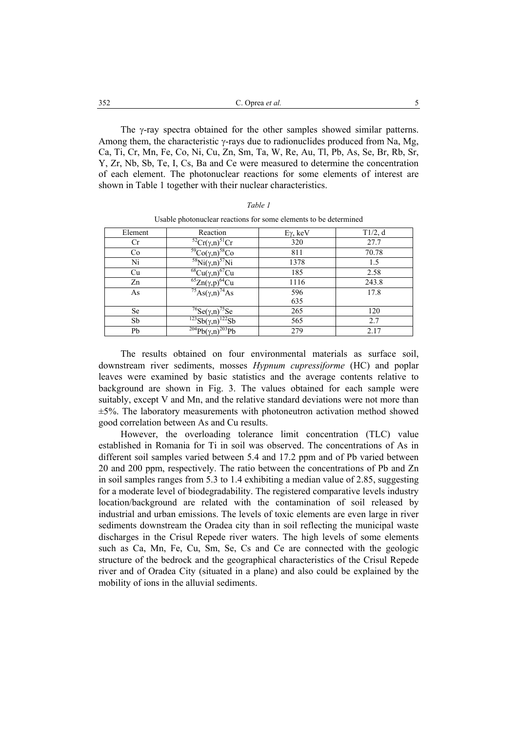| 352 | C. Oprea <i>et al.</i> |  |
|-----|------------------------|--|
|     |                        |  |

 The γ-ray spectra obtained for the other samples showed similar patterns. Among them, the characteristic  $\gamma$ -rays due to radionuclides produced from Na, Mg, Ca, Ti, Cr, Mn, Fe, Co, Ni, Cu, Zn, Sm, Ta, W, Re, Au, Tl, Pb, As, Se, Br, Rb, Sr, Y, Zr, Nb, Sb, Te, I, Cs, Ba and Ce were measured to determine the concentration of each element. The photonuclear reactions for some elements of interest are shown in Table 1 together with their nuclear characteristics.

| Element | Reaction                                              | $Eγ$ , keV | T1/2, d |
|---------|-------------------------------------------------------|------------|---------|
| Cr      | ${}^{52}Cr(\gamma,n){}^{51}Cr$                        | 320        | 27.7    |
| Co      | $\sqrt[59]{\text{Co}(\gamma,\text{n})}^{58}\text{Co}$ | 811        | 70.78   |
| Ni      | $\sqrt[58]{N}i(\gamma,n)^{57}Ni$                      | 1378       | 1.5     |
| Cu      | $\sqrt[68]{\text{Cu}(\gamma,\text{n})^{67}\text{Cu}}$ | 185        | 2.58    |
| Zn      | $\sqrt[65]{2}$ n(γ,p) <sup>64</sup> Cu                | 1116       | 243.8   |
| As      | $\sqrt[75]{\text{As}(\gamma,\text{n})}^{\gamma_4}$ As | 596        | 17.8    |
|         |                                                       | 635        |         |
| Se      | $76$ Se( $\gamma$ <sub>,n</sub> )'<br>''Se            | 265        | 120     |
| Sb      | $\sqrt{123}Sb(\gamma,n)$<br>$^{122}\mathrm{Sb}$       | 565        | 2.7     |
| Pb      | $\sqrt[204]{Pb}(\gamma,n)^{203}Pb$                    | 279        | 2.17    |

Usable photonuclear reactions for some elements to be determined

 The results obtained on four environmental materials as surface soil, downstream river sediments, mosses *Hypnum cupressiforme* (HC) and poplar leaves were examined by basic statistics and the average contents relative to background are shown in Fig. 3. The values obtained for each sample were suitably, except V and Mn, and the relative standard deviations were not more than  $\pm$ 5%. The laboratory measurements with photoneutron activation method showed good correlation between As and Cu results.

 However, the overloading tolerance limit concentration (TLC) value established in Romania for Ti in soil was observed. The concentrations of As in different soil samples varied between 5.4 and 17.2 ppm and of Pb varied between 20 and 200 ppm, respectively. The ratio between the concentrations of Pb and Zn in soil samples ranges from 5.3 to 1.4 exhibiting a median value of 2.85, suggesting for a moderate level of biodegradability. The registered comparative levels industry location/background are related with the contamination of soil released by industrial and urban emissions. The levels of toxic elements are even large in river sediments downstream the Oradea city than in soil reflecting the municipal waste discharges in the Crisul Repede river waters. The high levels of some elements such as Ca, Mn, Fe, Cu, Sm, Se, Cs and Ce are connected with the geologic structure of the bedrock and the geographical characteristics of the Crisul Repede river and of Oradea City (situated in a plane) and also could be explained by the mobility of ions in the alluvial sediments.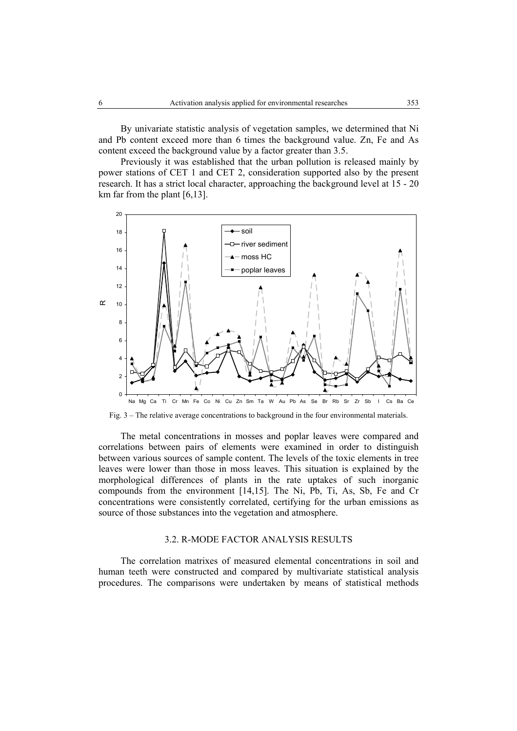By univariate statistic analysis of vegetation samples, we determined that Ni and Pb content exceed more than 6 times the background value. Zn, Fe and As content exceed the background value by a factor greater than 3.5.

Previously it was established that the urban pollution is released mainly by power stations of CET 1 and CET 2, consideration supported also by the present research. It has a strict local character, approaching the background level at 15 - 20 km far from the plant [6,13].



Fig. 3 – The relative average concentrations to background in the four environmental materials.

The metal concentrations in mosses and poplar leaves were compared and correlations between pairs of elements were examined in order to distinguish between various sources of sample content. The levels of the toxic elements in tree leaves were lower than those in moss leaves. This situation is explained by the morphological differences of plants in the rate uptakes of such inorganic compounds from the environment [14,15]. The Ni, Pb, Ti, As, Sb, Fe and Cr concentrations were consistently correlated, certifying for the urban emissions as source of those substances into the vegetation and atmosphere.

#### 3.2. R-MODE FACTOR ANALYSIS RESULTS

The correlation matrixes of measured elemental concentrations in soil and human teeth were constructed and compared by multivariate statistical analysis procedures. The comparisons were undertaken by means of statistical methods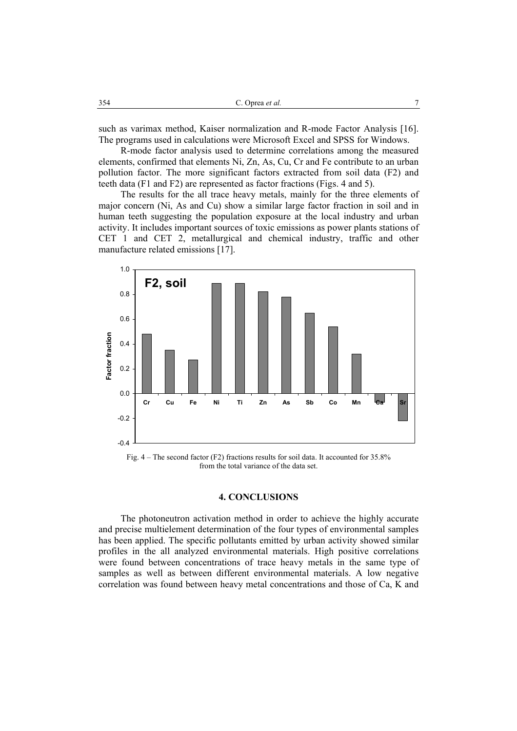such as varimax method, Kaiser normalization and R-mode Factor Analysis [16]. The programs used in calculations were Microsoft Excel and SPSS for Windows.

R-mode factor analysis used to determine correlations among the measured elements, confirmed that elements Ni, Zn, As, Cu, Cr and Fe contribute to an urban pollution factor. The more significant factors extracted from soil data (F2) and teeth data (F1 and F2) are represented as factor fractions (Figs. 4 and 5).

The results for the all trace heavy metals, mainly for the three elements of major concern (Ni, As and Cu) show a similar large factor fraction in soil and in human teeth suggesting the population exposure at the local industry and urban activity. It includes important sources of toxic emissions as power plants stations of CET 1 and CET 2, metallurgical and chemical industry, traffic and other manufacture related emissions [17].



Fig. 4 – The second factor (F2) fractions results for soil data. It accounted for 35.8% from the total variance of the data set.

#### **4. CONCLUSIONS**

The photoneutron activation method in order to achieve the highly accurate and precise multielement determination of the four types of environmental samples has been applied. The specific pollutants emitted by urban activity showed similar profiles in the all analyzed environmental materials. High positive correlations were found between concentrations of trace heavy metals in the same type of samples as well as between different environmental materials. A low negative correlation was found between heavy metal concentrations and those of Ca, K and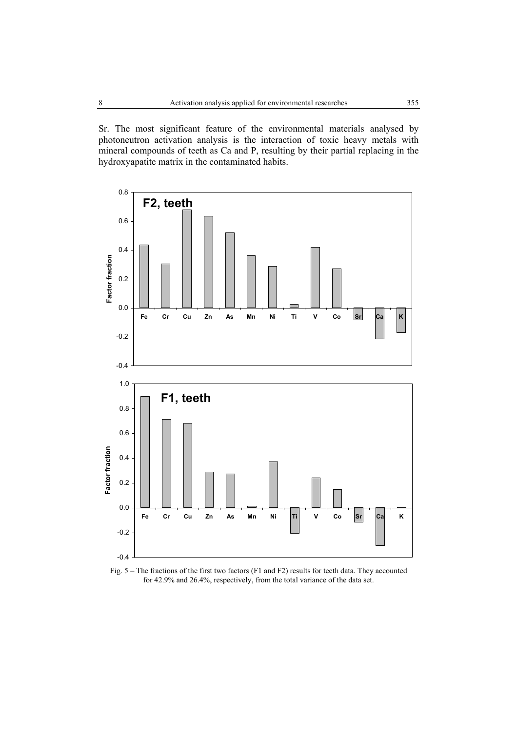Sr. The most significant feature of the environmental materials analysed by photoneutron activation analysis is the interaction of toxic heavy metals with mineral compounds of teeth as Ca and P, resulting by their partial replacing in the hydroxyapatite matrix in the contaminated habits.



Fig. 5 – The fractions of the first two factors (F1 and F2) results for teeth data. They accounted for 42.9% and 26.4%, respectively, from the total variance of the data set.